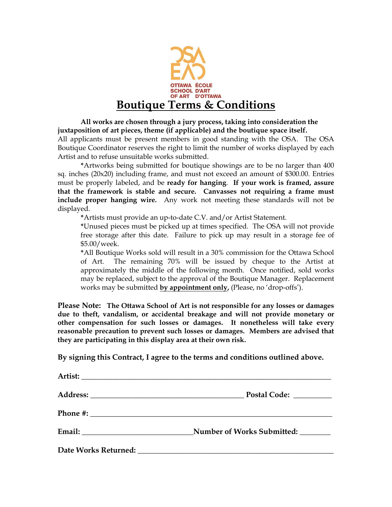

**All works are chosen through a jury process, taking into consideration the juxtaposition of art pieces, theme (if applicable) and the boutique space itself.** All applicants must be present members in good standing with the OSA. The OSA Boutique Coordinator reserves the right to limit the number of works displayed by each Artist and to refuse unsuitable works submitted.

**\***Artworks being submitted for boutique showings are to be no larger than 400 sq. inches (20x20) including frame, and must not exceed an amount of \$300.00. Entries must be properly labeled, and be **ready for hanging**. **If your work is framed, assure that the framework is stable and secure. Canvasses not requiring a frame must include proper hanging wire.** Any work not meeting these standards will not be displayed.

**\***Artists must provide an up-to-date C.V. and/or Artist Statement.

**\***Unused pieces must be picked up at times specified. The OSA will not provide free storage after this date. Failure to pick up may result in a storage fee of \$5.00/week.

**\***All Boutique Works sold will result in a 30% commission for the Ottawa School of Art. The remaining 70% will be issued by cheque to the Artist at approximately the middle of the following month. Once notified, sold works may be replaced, subject to the approval of the Boutique Manager. Replacement works may be submitted **by appointment only,** (Please, no 'drop-offs').

**Please Note: The Ottawa School of Art is not responsible for any losses or damages due to theft, vandalism, or accidental breakage and will not provide monetary or other compensation for such losses or damages. It nonetheless will take every reasonable precaution to prevent such losses or damages. Members are advised that they are participating in this display area at their own risk.**

**By signing this Contract, I agree to the terms and conditions outlined above.**

| Postal Code: <u>_______________</u> |
|-------------------------------------|
|                                     |
|                                     |
|                                     |